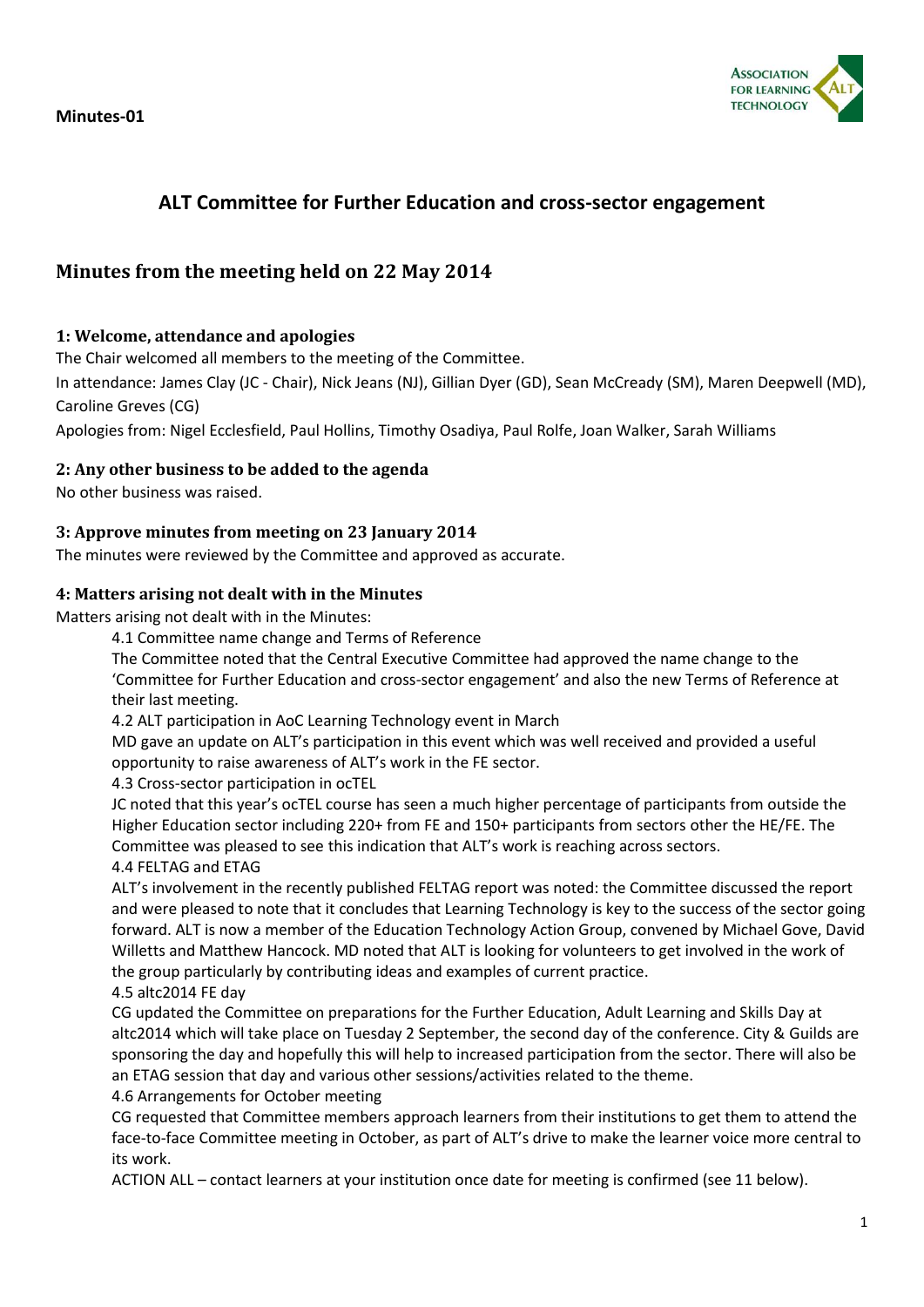**Minutes-01**



# **ALT Committee for Further Education and cross-sector engagement**

# **Minutes from the meeting held on 22 May 2014**

### **1: Welcome, attendance and apologies**

The Chair welcomed all members to the meeting of the Committee.

In attendance: James Clay (JC - Chair), Nick Jeans (NJ), Gillian Dyer (GD), Sean McCready (SM), Maren Deepwell (MD), Caroline Greves (CG)

Apologies from: Nigel Ecclesfield, Paul Hollins, Timothy Osadiya, Paul Rolfe, Joan Walker, Sarah Williams

### **2: Any other business to be added to the agenda**

No other business was raised.

#### **3: Approve minutes from meeting on 23 January 2014**

The minutes were reviewed by the Committee and approved as accurate.

#### **4: Matters arising not dealt with in the Minutes**

Matters arising not dealt with in the Minutes:

4.1 Committee name change and Terms of Reference

The Committee noted that the Central Executive Committee had approved the name change to the 'Committee for Further Education and cross-sector engagement' and also the new Terms of Reference at their last meeting.

4.2 ALT participation in AoC Learning Technology event in March

MD gave an update on ALT's participation in this event which was well received and provided a useful opportunity to raise awareness of ALT's work in the FE sector.

4.3 Cross-sector participation in ocTEL

JC noted that this year's ocTEL course has seen a much higher percentage of participants from outside the Higher Education sector including 220+ from FE and 150+ participants from sectors other the HE/FE. The Committee was pleased to see this indication that ALT's work is reaching across sectors.

#### 4.4 FELTAG and ETAG

ALT's involvement in the recently published FELTAG report was noted: the Committee discussed the report and were pleased to note that it concludes that Learning Technology is key to the success of the sector going forward. ALT is now a member of the Education Technology Action Group, convened by Michael Gove, David Willetts and Matthew Hancock. MD noted that ALT is looking for volunteers to get involved in the work of the group particularly by contributing ideas and examples of current practice.

#### 4.5 altc2014 FE day

CG updated the Committee on preparations for the Further Education, Adult Learning and Skills Day at altc2014 which will take place on Tuesday 2 September, the second day of the conference. City & Guilds are sponsoring the day and hopefully this will help to increased participation from the sector. There will also be an ETAG session that day and various other sessions/activities related to the theme.

4.6 Arrangements for October meeting

CG requested that Committee members approach learners from their institutions to get them to attend the face-to-face Committee meeting in October, as part of ALT's drive to make the learner voice more central to its work.

ACTION ALL – contact learners at your institution once date for meeting is confirmed (see 11 below).